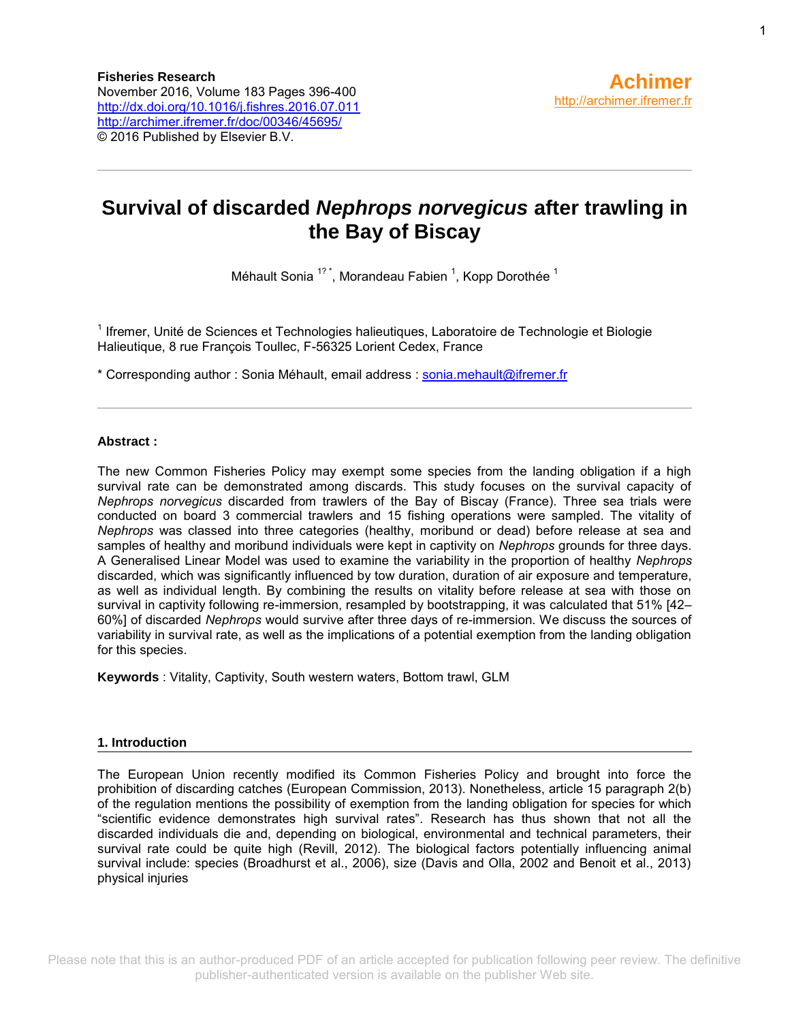## **Survival of discarded** *Nephrops norvegicus* **after trawling in the Bay of Biscay**

Méhault Sonia <sup>1?</sup><sup>\*</sup>, Morandeau Fabien <sup>1</sup>, Kopp Dorothée <sup>1</sup>

<sup>1</sup> Ifremer, Unité de Sciences et Technologies halieutiques, Laboratoire de Technologie et Biologie Halieutique, 8 rue François Toullec, F-56325 Lorient Cedex, France

\* Corresponding author : Sonia Méhault, email address : [sonia.mehault@ifremer.fr](mailto:sonia.mehault@ifremer.fr)

#### **Abstract :**

The new Common Fisheries Policy may exempt some species from the landing obligation if a high survival rate can be demonstrated among discards. This study focuses on the survival capacity of *Nephrops norvegicus* discarded from trawlers of the Bay of Biscay (France). Three sea trials were conducted on board 3 commercial trawlers and 15 fishing operations were sampled. The vitality of *Nephrops* was classed into three categories (healthy, moribund or dead) before release at sea and samples of healthy and moribund individuals were kept in captivity on *Nephrops* grounds for three days. A Generalised Linear Model was used to examine the variability in the proportion of healthy *Nephrops* discarded, which was significantly influenced by tow duration, duration of air exposure and temperature, as well as individual length. By combining the results on vitality before release at sea with those on survival in captivity following re-immersion, resampled by bootstrapping, it was calculated that 51% [42– 60%] of discarded *Nephrops* would survive after three days of re-immersion. We discuss the sources of variability in survival rate, as well as the implications of a potential exemption from the landing obligation for this species.

**Keywords** : Vitality, Captivity, South western waters, Bottom trawl, GLM

#### **1. Introduction**

The European Union recently modified its Common Fisheries Policy and brought into force the prohibition of discarding catches (European Commission, 2013). Nonetheless, article 15 paragraph 2(b) of the regulation mentions the possibility of exemption from the landing obligation for species for which "scientific evidence demonstrates high survival rates". Research has thus shown that not all the discarded individuals die and, depending on biological, environmental and technical parameters, their survival rate could be quite high (Revill, 2012). The biological factors potentially influencing animal survival include: species (Broadhurst et al., 2006), size (Davis and Olla, 2002 and Benoit et al., 2013) physical injuries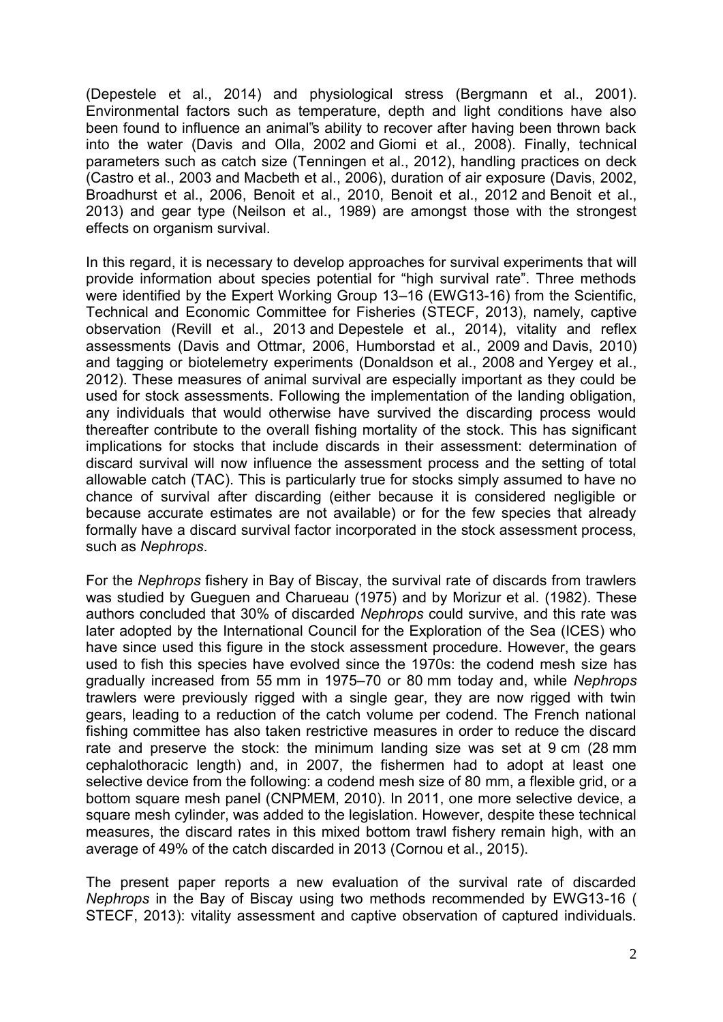[\(Depestele et al., 2014\)](http://www.sciencedirect.com/science/article/pii/S0165783616302235#bib0090) and physiological stress [\(Bergmann et al., 2001\)](http://www.sciencedirect.com/science/article/pii/S0165783616302235#bib0035). Environmental factors such as temperature, depth and light conditions have also been found to influence an animal"s ability to recover after having been thrown back into the water [\(Davis and Olla, 2002](http://www.sciencedirect.com/science/article/pii/S0165783616302235#bib0070) and [Giomi et al., 2008\)](http://www.sciencedirect.com/science/article/pii/S0165783616302235#bib0120). Finally, technical parameters such as catch size [\(Tenningen et al., 2012\)](http://www.sciencedirect.com/science/article/pii/S0165783616302235#bib0190), handling practices on deck [\(Castro et al., 2003](http://www.sciencedirect.com/science/article/pii/S0165783616302235#bib0050) and [Macbeth et al., 2006\)](http://www.sciencedirect.com/science/article/pii/S0165783616302235#bib0145), duration of air exposure [\(Davis, 2002,](http://www.sciencedirect.com/science/article/pii/S0165783616302235#bib0080) [Broadhurst et al., 2006,](http://www.sciencedirect.com/science/article/pii/S0165783616302235#bib0040) [Benoit et al., 2010,](http://www.sciencedirect.com/science/article/pii/S0165783616302235#bib0015) [Benoit et al., 2012](http://www.sciencedirect.com/science/article/pii/S0165783616302235#bib0020) and [Benoit et al.,](http://www.sciencedirect.com/science/article/pii/S0165783616302235#bib0025)  [2013\)](http://www.sciencedirect.com/science/article/pii/S0165783616302235#bib0025) and gear type [\(Neilson et al., 1989\)](http://www.sciencedirect.com/science/article/pii/S0165783616302235#bib0160) are amongst those with the strongest effects on organism survival.

In this regard, it is necessary to develop approaches for survival experiments that will provide information about species potential for "high survival rate". Three methods were identified by the Expert Working Group 13–16 (EWG13-16) from the Scientific, Technical and Economic Committee for Fisheries [\(STECF, 2013\)](http://www.sciencedirect.com/science/article/pii/S0165783616302235#bib0185), namely, captive observation [\(Revill et al., 2013](http://www.sciencedirect.com/science/article/pii/S0165783616302235#bib0170) and [Depestele et al., 2014\)](http://www.sciencedirect.com/science/article/pii/S0165783616302235#bib0090), vitality and reflex assessments [\(Davis and Ottmar, 2006,](http://www.sciencedirect.com/science/article/pii/S0165783616302235#bib0075) [Humborstad et al., 2009](http://www.sciencedirect.com/science/article/pii/S0165783616302235#bib0135) and [Davis, 2010\)](http://www.sciencedirect.com/science/article/pii/S0165783616302235#bib0085) and tagging or biotelemetry experiments [\(Donaldson et al., 2008](http://www.sciencedirect.com/science/article/pii/S0165783616302235#bib0095) and [Yergey et al.,](http://www.sciencedirect.com/science/article/pii/S0165783616302235#bib0205)  [2012\)](http://www.sciencedirect.com/science/article/pii/S0165783616302235#bib0205). These measures of animal survival are especially important as they could be used for stock assessments. Following the implementation of the landing obligation, any individuals that would otherwise have survived the discarding process would thereafter contribute to the overall fishing mortality of the stock. This has significant implications for stocks that include discards in their assessment: determination of discard survival will now influence the assessment process and the setting of total allowable catch (TAC). This is particularly true for stocks simply assumed to have no chance of survival after discarding (either because it is considered negligible or because accurate estimates are not available) or for the few species that already formally have a discard survival factor incorporated in the stock assessment process, such as *Nephrops*.

For the *Nephrops* fishery in Bay of Biscay, the survival rate of discards from trawlers was studied by [Gueguen and Charueau \(1975\)](http://www.sciencedirect.com/science/article/pii/S0165783616302235#bib0125) and by [Morizur et al. \(1982\).](http://www.sciencedirect.com/science/article/pii/S0165783616302235#bib0155) These authors concluded that 30% of discarded *Nephrops* could survive, and this rate was later adopted by the International Council for the Exploration of the Sea (ICES) who have since used this figure in the stock assessment procedure. However, the gears used to fish this species have evolved since the 1970s: the codend mesh size has gradually increased from 55 mm in 1975–70 or 80 mm today and, while *Nephrops* trawlers were previously rigged with a single gear, they are now rigged with twin gears, leading to a reduction of the catch volume per codend. The French national fishing committee has also taken restrictive measures in order to reduce the discard rate and preserve the stock: the minimum landing size was set at 9 cm (28 mm cephalothoracic length) and, in 2007, the fishermen had to adopt at least one selective device from the following: a codend mesh size of 80 mm, a flexible grid, or a bottom square mesh panel [\(CNPMEM, 2010\)](http://www.sciencedirect.com/science/article/pii/S0165783616302235#bib0045). In 2011, one more selective device, a square mesh cylinder, was added to the legislation. However, despite these technical measures, the discard rates in this mixed bottom trawl fishery remain high, with an average of 49% of the catch discarded in 2013 [\(Cornou et al., 2015\)](http://www.sciencedirect.com/science/article/pii/S0165783616302235#bib0065).

The present paper reports a new evaluation of the survival rate of discarded *Nephrops* in the Bay of Biscay using two methods recommended by EWG13-16 ( [STECF, 2013\)](http://www.sciencedirect.com/science/article/pii/S0165783616302235#bib0185): vitality assessment and captive observation of captured individuals.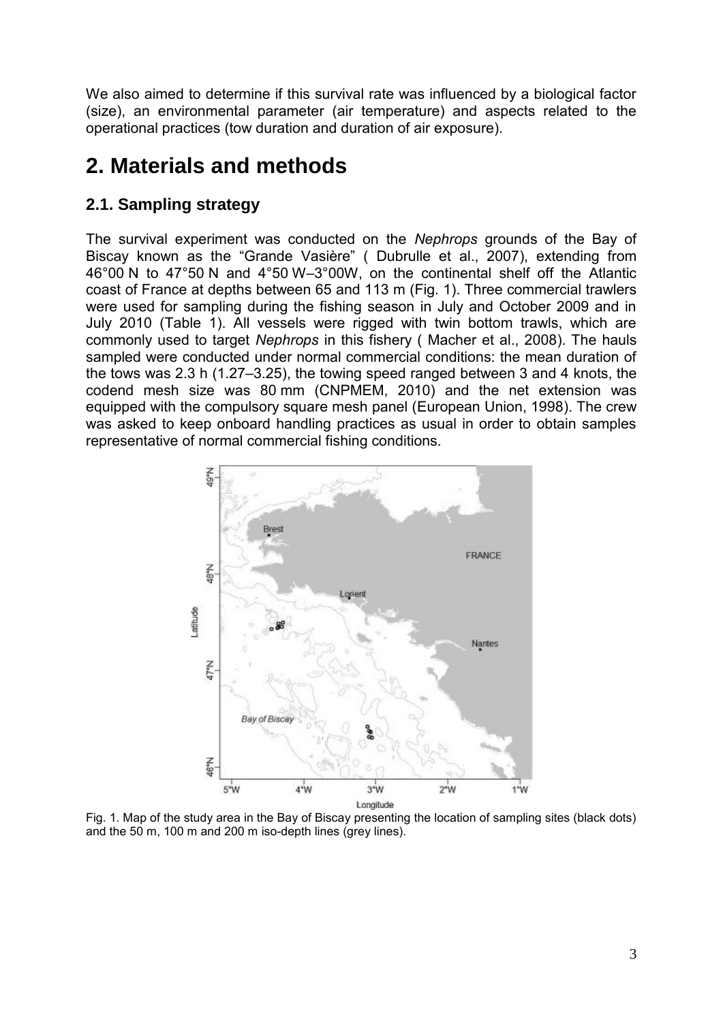We also aimed to determine if this survival rate was influenced by a biological factor (size), an environmental parameter (air temperature) and aspects related to the operational practices (tow duration and duration of air exposure).

# **2. Materials and methods**

### **2.1. Sampling strategy**

The survival experiment was conducted on the *Nephrops* grounds of the Bay of Biscay known as the "Grande Vasière" ( [Dubrulle et al., 2007\)](http://www.sciencedirect.com/science/article/pii/S0165783616302235#bib0100), extending from 46°00 N to 47°50 N and 4°50 W–3°00W, on the continental shelf off the Atlantic coast of France at depths between 65 and 113 m [\(Fig. 1\)](http://www.sciencedirect.com/science/article/pii/S0165783616302235#fig0005). Three commercial trawlers were used for sampling during the fishing season in July and October 2009 and in July 2010 [\(Table 1\)](http://www.sciencedirect.com/science/article/pii/S0165783616302235#tbl0005). All vessels were rigged with twin bottom trawls, which are commonly used to target *Nephrops* in this fishery ( [Macher et al., 2008\)](http://www.sciencedirect.com/science/article/pii/S0165783616302235#bib0150). The hauls sampled were conducted under normal commercial conditions: the mean duration of the tows was 2.3 h (1.27–3.25), the towing speed ranged between 3 and 4 knots, the codend mesh size was 80 mm [\(CNPMEM, 2010\)](http://www.sciencedirect.com/science/article/pii/S0165783616302235#bib0045) and the net extension was equipped with the compulsory square mesh panel [\(European Union, 1998\)](http://www.sciencedirect.com/science/article/pii/S0165783616302235#bib0110). The crew was asked to keep onboard handling practices as usual in order to obtain samples representative of normal commercial fishing conditions.



Fig. 1. Map of the study area in the Bay of Biscay presenting the location of sampling sites (black dots) and the 50 m, 100 m and 200 m iso-depth lines (grey lines).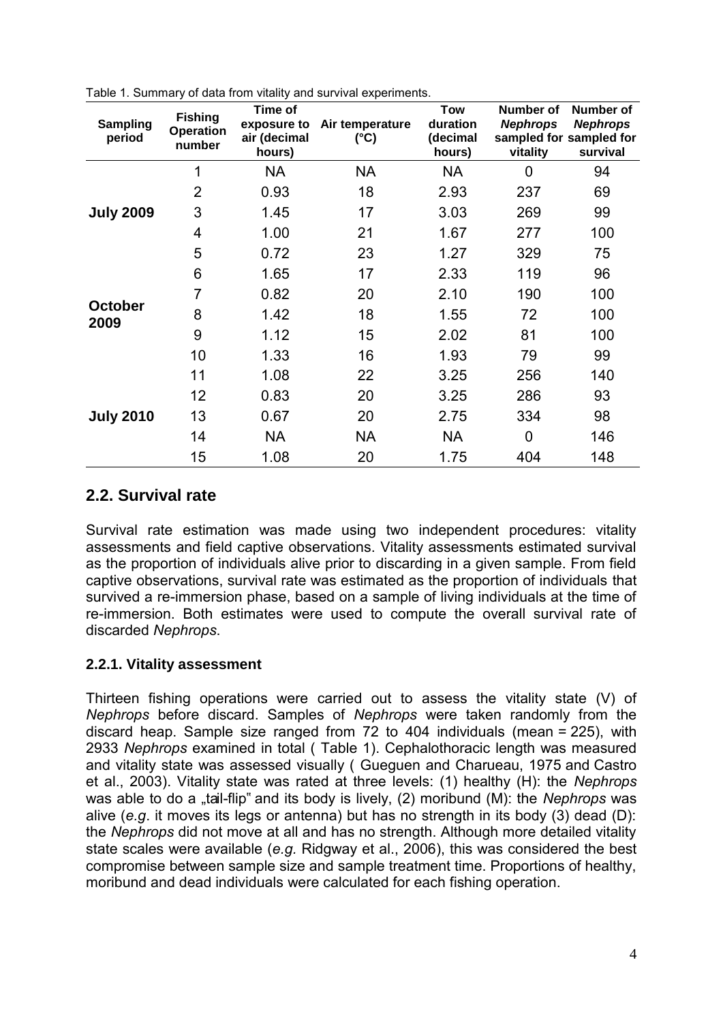| <b>Sampling</b><br>period | <b>Fishing</b><br><b>Operation</b><br>number | Time of<br>exposure to<br>air (decimal<br>hours) | Air temperature<br>(°C) | <b>Tow</b><br>duration<br>(decimal<br>hours) | Number of<br><b>Nephrops</b><br>vitality | Number of<br><b>Nephrops</b><br>sampled for sampled for<br>survival |
|---------------------------|----------------------------------------------|--------------------------------------------------|-------------------------|----------------------------------------------|------------------------------------------|---------------------------------------------------------------------|
| <b>July 2009</b>          | 1                                            | <b>NA</b>                                        | <b>NA</b>               | <b>NA</b>                                    | 0                                        | 94                                                                  |
|                           | $\overline{2}$                               | 0.93                                             | 18                      | 2.93                                         | 237                                      | 69                                                                  |
|                           | 3                                            | 1.45                                             | 17                      | 3.03                                         | 269                                      | 99                                                                  |
|                           | 4                                            | 1.00                                             | 21                      | 1.67                                         | 277                                      | 100                                                                 |
|                           | 5                                            | 0.72                                             | 23                      | 1.27                                         | 329                                      | 75                                                                  |
| <b>October</b><br>2009    | 6                                            | 1.65                                             | 17                      | 2.33                                         | 119                                      | 96                                                                  |
|                           | 7                                            | 0.82                                             | 20                      | 2.10                                         | 190                                      | 100                                                                 |
|                           | 8                                            | 1.42                                             | 18                      | 1.55                                         | 72                                       | 100                                                                 |
|                           | 9                                            | 1.12                                             | 15                      | 2.02                                         | 81                                       | 100                                                                 |
|                           | 10                                           | 1.33                                             | 16                      | 1.93                                         | 79                                       | 99                                                                  |
| <b>July 2010</b>          | 11                                           | 1.08                                             | 22                      | 3.25                                         | 256                                      | 140                                                                 |
|                           | 12                                           | 0.83                                             | 20                      | 3.25                                         | 286                                      | 93                                                                  |
|                           | 13                                           | 0.67                                             | 20                      | 2.75                                         | 334                                      | 98                                                                  |
|                           | 14                                           | <b>NA</b>                                        | NA                      | <b>NA</b>                                    | $\overline{0}$                           | 146                                                                 |
|                           | 15                                           | 1.08                                             | 20                      | 1.75                                         | 404                                      | 148                                                                 |

Table 1. Summary of data from vitality and survival experiments.

### **2.2. Survival rate**

Survival rate estimation was made using two independent procedures: vitality assessments and field captive observations. Vitality assessments estimated survival as the proportion of individuals alive prior to discarding in a given sample. From field captive observations, survival rate was estimated as the proportion of individuals that survived a re-immersion phase, based on a sample of living individuals at the time of re-immersion. Both estimates were used to compute the overall survival rate of discarded *Nephrops*.

### **2.2.1. Vitality assessment**

Thirteen fishing operations were carried out to assess the vitality state (V) of *Nephrops* before discard. Samples of *Nephrops* were taken randomly from the discard heap. Sample size ranged from 72 to 404 individuals (mean = 225), with 2933 *Nephrops* examined in total ( [Table 1\)](http://www.sciencedirect.com/science/article/pii/S0165783616302235#tbl0005). Cephalothoracic length was measured and vitality state was assessed visually ( [Gueguen and Charueau, 1975](http://www.sciencedirect.com/science/article/pii/S0165783616302235#bib0125) and [Castro](http://www.sciencedirect.com/science/article/pii/S0165783616302235#bib0050)  [et al., 2003\)](http://www.sciencedirect.com/science/article/pii/S0165783616302235#bib0050). Vitality state was rated at three levels: (1) healthy (H): the *Nephrops* was able to do a "tail-flip" and its body is lively, (2) moribund (M): the *Nephrops* was alive (*e.g*. it moves its legs or antenna) but has no strength in its body (3) dead (D): the *Nephrops* did not move at all and has no strength. Although more detailed vitality state scales were available (*e.g.* [Ridgway et al., 2006\)](http://www.sciencedirect.com/science/article/pii/S0165783616302235#bib0180), this was considered the best compromise between sample size and sample treatment time. Proportions of healthy, moribund and dead individuals were calculated for each fishing operation.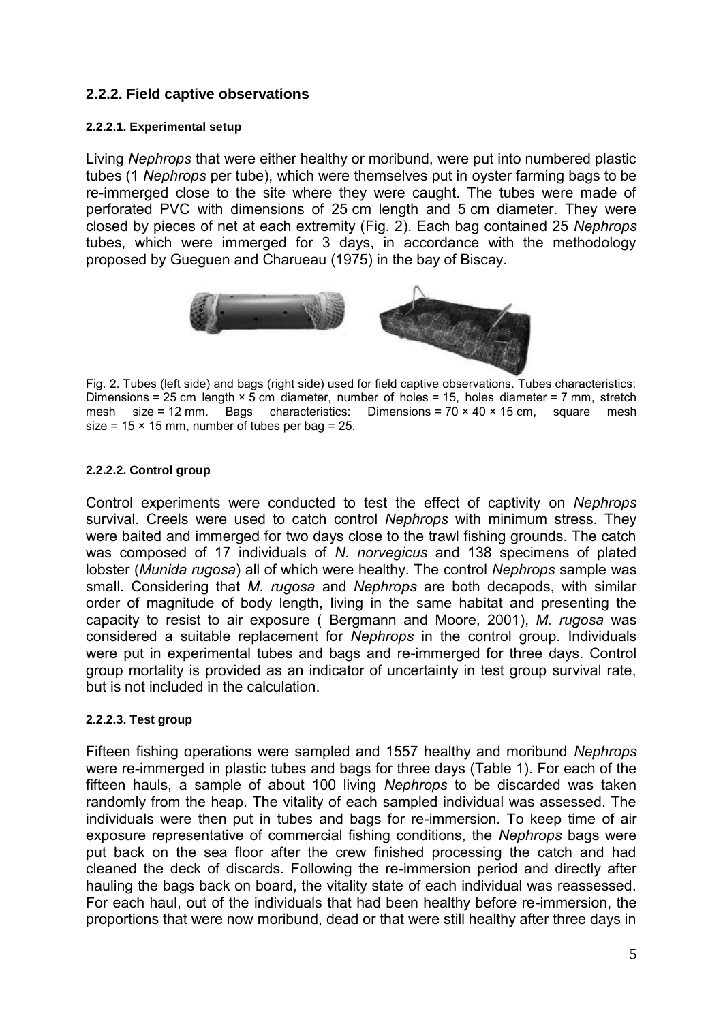### **2.2.2. Field captive observations**

#### **2.2.2.1. Experimental setup**

Living *Nephrops* that were either healthy or moribund, were put into numbered plastic tubes (1 *Nephrops* per tube), which were themselves put in oyster farming bags to be re-immerged close to the site where they were caught. The tubes were made of perforated PVC with dimensions of 25 cm length and 5 cm diameter. They were closed by pieces of net at each extremity [\(Fig. 2\)](http://www.sciencedirect.com/science/article/pii/S0165783616302235#fig0010). Each bag contained 25 *Nephrops* tubes, which were immerged for 3 days, in accordance with the methodology proposed by [Gueguen and Charueau \(1975\)](http://www.sciencedirect.com/science/article/pii/S0165783616302235#bib0125) in the bay of Biscay.



Fig. 2. Tubes (left side) and bags (right side) used for field captive observations. Tubes characteristics: Dimensions = 25 cm length  $\times$  5 cm diameter, number of holes = 15, holes diameter = 7 mm, stretch mesh size = 12 mm. Bags characteristics: Dimensions = 70  $\times$  40  $\times$  15 cm, square mesh size =  $15 \times 15$  mm, number of tubes per bag =  $25$ .

### **2.2.2.2. Control group**

Control experiments were conducted to test the effect of captivity on *Nephrops* survival. Creels were used to catch control *Nephrops* with minimum stress. They were baited and immerged for two days close to the trawl fishing grounds. The catch was composed of 17 individuals of *N. norvegicus* and 138 specimens of plated lobster (*Munida rugosa*) all of which were healthy. The control *Nephrops* sample was small. Considering that *M. rugosa* and *Nephrops* are both decapods, with similar order of magnitude of body length, living in the same habitat and presenting the capacity to resist to air exposure ( [Bergmann and Moore, 2001\)](http://www.sciencedirect.com/science/article/pii/S0165783616302235#bib0030), *M. rugosa* was considered a suitable replacement for *Nephrops* in the control group. Individuals were put in experimental tubes and bags and re-immerged for three days. Control group mortality is provided as an indicator of uncertainty in test group survival rate, but is not included in the calculation.

#### **2.2.2.3. Test group**

Fifteen fishing operations were sampled and 1557 healthy and moribund *Nephrops* were re-immerged in plastic tubes and bags for three days [\(Table 1\)](http://www.sciencedirect.com/science/article/pii/S0165783616302235#tbl0005). For each of the fifteen hauls, a sample of about 100 living *Nephrops* to be discarded was taken randomly from the heap. The vitality of each sampled individual was assessed. The individuals were then put in tubes and bags for re-immersion. To keep time of air exposure representative of commercial fishing conditions, the *Nephrops* bags were put back on the sea floor after the crew finished processing the catch and had cleaned the deck of discards. Following the re-immersion period and directly after hauling the bags back on board, the vitality state of each individual was reassessed. For each haul, out of the individuals that had been healthy before re-immersion, the proportions that were now moribund, dead or that were still healthy after three days in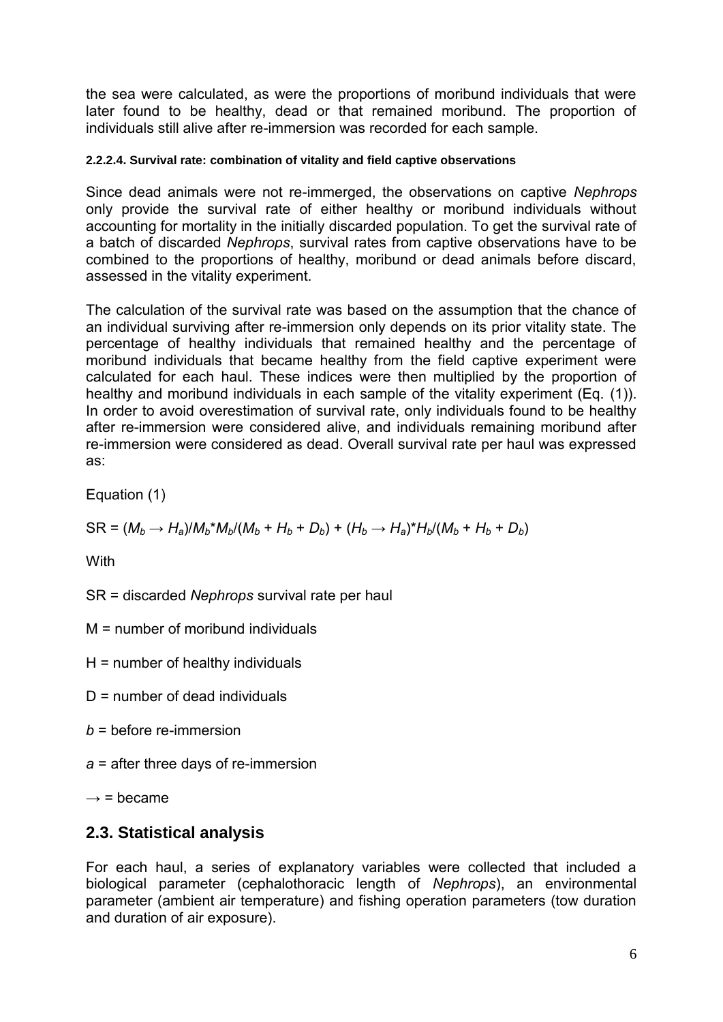the sea were calculated, as were the proportions of moribund individuals that were later found to be healthy, dead or that remained moribund. The proportion of individuals still alive after re-immersion was recorded for each sample.

### **2.2.2.4. Survival rate: combination of vitality and field captive observations**

Since dead animals were not re-immerged, the observations on captive *Nephrops* only provide the survival rate of either healthy or moribund individuals without accounting for mortality in the initially discarded population. To get the survival rate of a batch of discarded *Nephrops*, survival rates from captive observations have to be combined to the proportions of healthy, moribund or dead animals before discard, assessed in the vitality experiment.

The calculation of the survival rate was based on the assumption that the chance of an individual surviving after re-immersion only depends on its prior vitality state. The percentage of healthy individuals that remained healthy and the percentage of moribund individuals that became healthy from the field captive experiment were calculated for each haul. These indices were then multiplied by the proportion of healthy and moribund individuals in each sample of the vitality experiment (Eq. [\(1\)\)](http://www.sciencedirect.com/science/article/pii/S0165783616302235#eq0005). In order to avoid overestimation of survival rate, only individuals found to be healthy after re-immersion were considered alive, and individuals remaining moribund after re-immersion were considered as dead. Overall survival rate per haul was expressed as:

Equation (1)

$$
SR = (M_b \rightarrow H_a)/M_b * M_b/(M_b + H_b + D_b) + (H_b \rightarrow H_a) * H_b/(M_b + H_b + D_b)
$$

**With** 

SR = discarded *Nephrops* survival rate per haul

M = number of moribund individuals

 $H =$  number of healthy individuals

 $D$  = number of dead individuals

*b* = before re-immersion

*a* = after three days of re-immersion

 $\rightarrow$  = became

### **2.3. Statistical analysis**

For each haul, a series of explanatory variables were collected that included a biological parameter (cephalothoracic length of *Nephrops*), an environmental parameter (ambient air temperature) and fishing operation parameters (tow duration and duration of air exposure).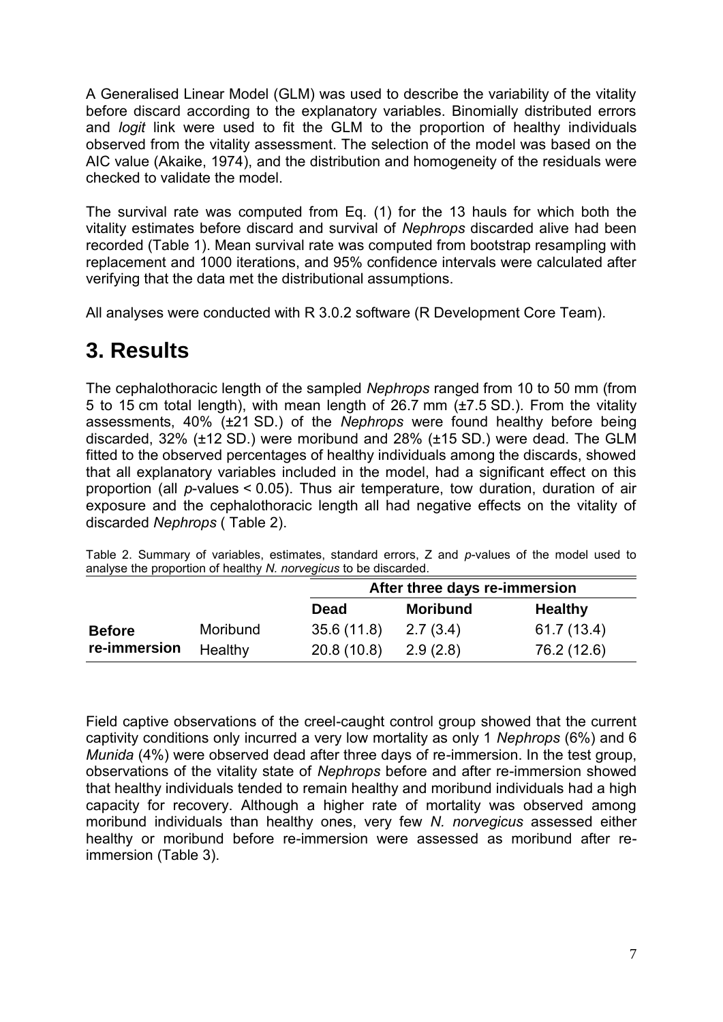A Generalised Linear Model (GLM) was used to describe the variability of the vitality before discard according to the explanatory variables. Binomially distributed errors and *logit* link were used to fit the GLM to the proportion of healthy individuals observed from the vitality assessment. The selection of the model was based on the AIC value [\(Akaike, 1974\)](http://www.sciencedirect.com/science/article/pii/S0165783616302235#bib0005), and the distribution and homogeneity of the residuals were checked to validate the model.

The survival rate was computed from Eq. [\(1\)](http://www.sciencedirect.com/science/article/pii/S0165783616302235#eq0005) for the 13 hauls for which both the vitality estimates before discard and survival of *Nephrops* discarded alive had been recorded [\(Table 1\)](http://www.sciencedirect.com/science/article/pii/S0165783616302235#tbl0005). Mean survival rate was computed from bootstrap resampling with replacement and 1000 iterations, and 95% confidence intervals were calculated after verifying that the data met the distributional assumptions.

All analyses were conducted with R 3.0.2 software (R Development Core Team).

## **3. Results**

The cephalothoracic length of the sampled *Nephrops* ranged from 10 to 50 mm (from 5 to 15 cm total length), with mean length of 26.7 mm (±7.5 SD.). From the vitality assessments, 40% (±21 SD.) of the *Nephrops* were found healthy before being discarded, 32% (±12 SD.) were moribund and 28% (±15 SD.) were dead. The GLM fitted to the observed percentages of healthy individuals among the discards, showed that all explanatory variables included in the model, had a significant effect on this proportion (all *p*-values < 0.05). Thus air temperature, tow duration, duration of air exposure and the cephalothoracic length all had negative effects on the vitality of discarded *Nephrops* ( [Table 2\)](http://www.sciencedirect.com/science/article/pii/S0165783616302235#tbl0010).

|               |          | After three days re-immersion |                 |                |  |
|---------------|----------|-------------------------------|-----------------|----------------|--|
|               |          | <b>Dead</b>                   | <b>Moribund</b> | <b>Healthy</b> |  |
| <b>Before</b> | Moribund | 35.6(11.8)                    | 2.7(3.4)        | 61.7(13.4)     |  |
| re-immersion  | Healthy  | 20.8(10.8)                    | 2.9(2.8)        | 76.2 (12.6)    |  |

Table 2. Summary of variables, estimates, standard errors, Z and *p*-values of the model used to analyse the proportion of healthy *N. norvegicus* to be discarded.

Field captive observations of the creel-caught control group showed that the current captivity conditions only incurred a very low mortality as only 1 *Nephrops* (6%) and 6 *Munida* (4%) were observed dead after three days of re-immersion. In the test group, observations of the vitality state of *Nephrops* before and after re-immersion showed that healthy individuals tended to remain healthy and moribund individuals had a high capacity for recovery. Although a higher rate of mortality was observed among moribund individuals than healthy ones, very few *N. norvegicus* assessed either healthy or moribund before re-immersion were assessed as moribund after reimmersion [\(Table 3\)](http://www.sciencedirect.com/science/article/pii/S0165783616302235#tbl0015).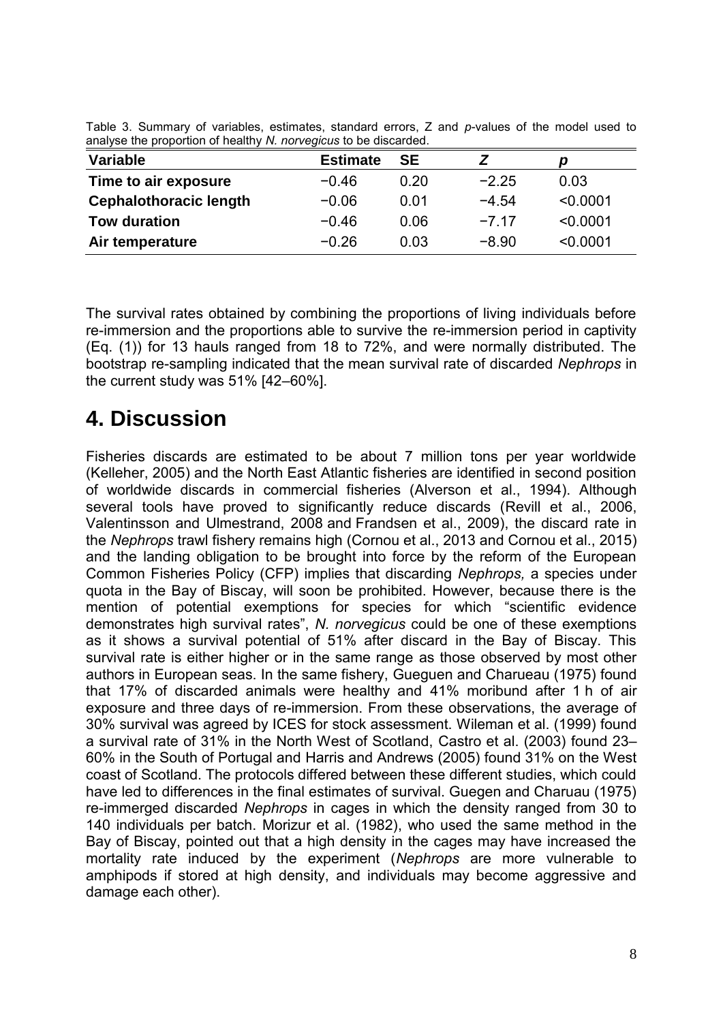| <b>Estimate</b> | <b>SE</b> |         | p        |  |  |  |  |
|-----------------|-----------|---------|----------|--|--|--|--|
| $-0.46$         | 0.20      | $-2.25$ | 0.03     |  |  |  |  |
| $-0.06$         | 0.01      | $-4.54$ | < 0.0001 |  |  |  |  |
| $-0.46$         | 0.06      | $-7.17$ | < 0.0001 |  |  |  |  |
| $-0.26$         | 0.03      | $-8.90$ | < 0.0001 |  |  |  |  |
|                 |           |         |          |  |  |  |  |

Table 3. Summary of variables, estimates, standard errors, Z and *p*-values of the model used to analyse the proportion of healthy *N. norvegicus* to be discarded.

The survival rates obtained by combining the proportions of living individuals before re-immersion and the proportions able to survive the re-immersion period in captivity (Eq. [\(1\)\)](http://www.sciencedirect.com/science/article/pii/S0165783616302235#eq0005) for 13 hauls ranged from 18 to 72%, and were normally distributed. The bootstrap re-sampling indicated that the mean survival rate of discarded *Nephrops* in the current study was 51% [42–60%].

# **4. Discussion**

Fisheries discards are estimated to be about 7 million tons per year worldwide [\(Kelleher, 2005\)](http://www.sciencedirect.com/science/article/pii/S0165783616302235#bib0140) and the North East Atlantic fisheries are identified in second position of worldwide discards in commercial fisheries [\(Alverson et al., 1994\)](http://www.sciencedirect.com/science/article/pii/S0165783616302235#bib0010). Although several tools have proved to significantly reduce discards [\(Revill et al., 2006,](http://www.sciencedirect.com/science/article/pii/S0165783616302235#bib0165) [Valentinsson and Ulmestrand, 2008](http://www.sciencedirect.com/science/article/pii/S0165783616302235#bib0195) and [Frandsen et al., 2009\)](http://www.sciencedirect.com/science/article/pii/S0165783616302235#bib0115), the discard rate in the *Nephrops* trawl fishery remains high [\(Cornou et al., 2013](http://www.sciencedirect.com/science/article/pii/S0165783616302235#bib0060) and [Cornou et al., 2015\)](http://www.sciencedirect.com/science/article/pii/S0165783616302235#bib0065) and the landing obligation to be brought into force by the reform of the European Common Fisheries Policy (CFP) implies that discarding *Nephrops,* a species under quota in the Bay of Biscay, will soon be prohibited. However, because there is the mention of potential exemptions for species for which "scientific evidence demonstrates high survival rates", *N. norvegicus* could be one of these exemptions as it shows a survival potential of 51% after discard in the Bay of Biscay. This survival rate is either higher or in the same range as those observed by most other authors in European seas. In the same fishery, [Gueguen and Charueau \(1975\)](http://www.sciencedirect.com/science/article/pii/S0165783616302235#bib0125) found that 17% of discarded animals were healthy and 41% moribund after 1 h of air exposure and three days of re-immersion. From these observations, the average of 30% survival was agreed by ICES for stock assessment. [Wileman et al. \(1999\)](http://www.sciencedirect.com/science/article/pii/S0165783616302235#bib0200) found a survival rate of 31% in the North West of Scotland, [Castro et al. \(2003\)](http://www.sciencedirect.com/science/article/pii/S0165783616302235#bib0050) found 23– 60% in the South of Portugal and [Harris and Andrews \(2005\)](http://www.sciencedirect.com/science/article/pii/S0165783616302235#bib0130) found 31% on the West coast of Scotland. The protocols differed between these different studies, which could have led to differences in the final estimates of survival. Guegen and Charuau (1975) re-immerged discarded *Nephrops* in cages in which the density ranged from 30 to 140 individuals per batch. [Morizur et al. \(1982\),](http://www.sciencedirect.com/science/article/pii/S0165783616302235#bib0155) who used the same method in the Bay of Biscay, pointed out that a high density in the cages may have increased the mortality rate induced by the experiment (*Nephrops* are more vulnerable to amphipods if stored at high density, and individuals may become aggressive and damage each other).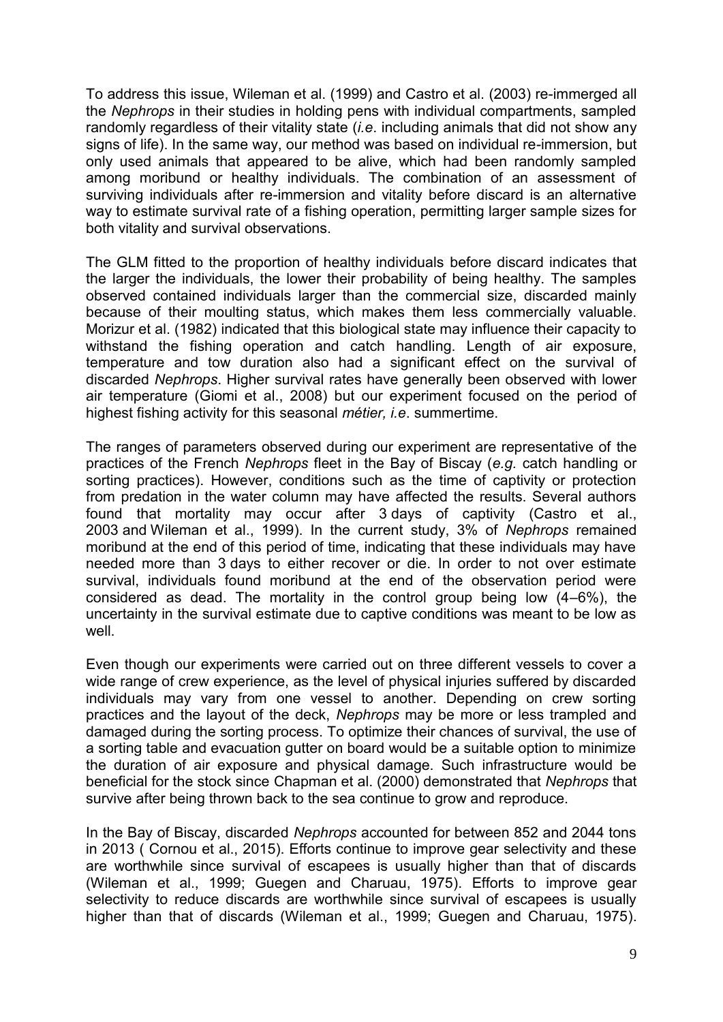To address this issue, [Wileman et al. \(1999\)](http://www.sciencedirect.com/science/article/pii/S0165783616302235#bib0200) and [Castro et al. \(2003\)](http://www.sciencedirect.com/science/article/pii/S0165783616302235#bib0050) re-immerged all the *Nephrops* in their studies in holding pens with individual compartments, sampled randomly regardless of their vitality state (*i.e*. including animals that did not show any signs of life). In the same way, our method was based on individual re-immersion, but only used animals that appeared to be alive, which had been randomly sampled among moribund or healthy individuals. The combination of an assessment of surviving individuals after re-immersion and vitality before discard is an alternative way to estimate survival rate of a fishing operation, permitting larger sample sizes for both vitality and survival observations.

The GLM fitted to the proportion of healthy individuals before discard indicates that the larger the individuals, the lower their probability of being healthy. The samples observed contained individuals larger than the commercial size, discarded mainly because of their moulting status, which makes them less commercially valuable. [Morizur et al. \(1982\)](http://www.sciencedirect.com/science/article/pii/S0165783616302235#bib0155) indicated that this biological state may influence their capacity to withstand the fishing operation and catch handling. Length of air exposure, temperature and tow duration also had a significant effect on the survival of discarded *Nephrops*. Higher survival rates have generally been observed with lower air temperature [\(Giomi et al., 2008\)](http://www.sciencedirect.com/science/article/pii/S0165783616302235#bib0120) but our experiment focused on the period of highest fishing activity for this seasonal *métier, i.e*. summertime.

The ranges of parameters observed during our experiment are representative of the practices of the French *Nephrops* fleet in the Bay of Biscay (*e.g.* catch handling or sorting practices). However, conditions such as the time of captivity or protection from predation in the water column may have affected the results. Several authors found that mortality may occur after 3 days of captivity [\(Castro et al.,](http://www.sciencedirect.com/science/article/pii/S0165783616302235#bib0050)  [2003](http://www.sciencedirect.com/science/article/pii/S0165783616302235#bib0050) and [Wileman et al., 1999\)](http://www.sciencedirect.com/science/article/pii/S0165783616302235#bib0200). In the current study, 3% of *Nephrops* remained moribund at the end of this period of time, indicating that these individuals may have needed more than 3 days to either recover or die. In order to not over estimate survival, individuals found moribund at the end of the observation period were considered as dead. The mortality in the control group being low (4–6%), the uncertainty in the survival estimate due to captive conditions was meant to be low as well.

Even though our experiments were carried out on three different vessels to cover a wide range of crew experience, as the level of physical injuries suffered by discarded individuals may vary from one vessel to another. Depending on crew sorting practices and the layout of the deck, *Nephrops* may be more or less trampled and damaged during the sorting process. To optimize their chances of survival, the use of a sorting table and evacuation gutter on board would be a suitable option to minimize the duration of air exposure and physical damage. Such infrastructure would be beneficial for the stock since [Chapman et al. \(2000\)](http://www.sciencedirect.com/science/article/pii/S0165783616302235#bib0055) demonstrated that *Nephrops* that survive after being thrown back to the sea continue to grow and reproduce.

In the Bay of Biscay, discarded *Nephrops* accounted for between 852 and 2044 tons in 2013 ( [Cornou et al., 2015\)](http://www.sciencedirect.com/science/article/pii/S0165783616302235#bib0065). Efforts continue to improve gear selectivity and these are worthwhile since survival of escapees is usually higher than that of discards [\(Wileman et al., 1999; Guegen and Charuau, 1975\)](http://www.sciencedirect.com/science/article/pii/S0165783616302235#bib0200). Efforts to improve gear selectivity to reduce discards are worthwhile since survival of escapees is usually higher than that of discards [\(Wileman et al., 1999; Guegen and Charuau, 1975\)](http://www.sciencedirect.com/science/article/pii/S0165783616302235#bib0200).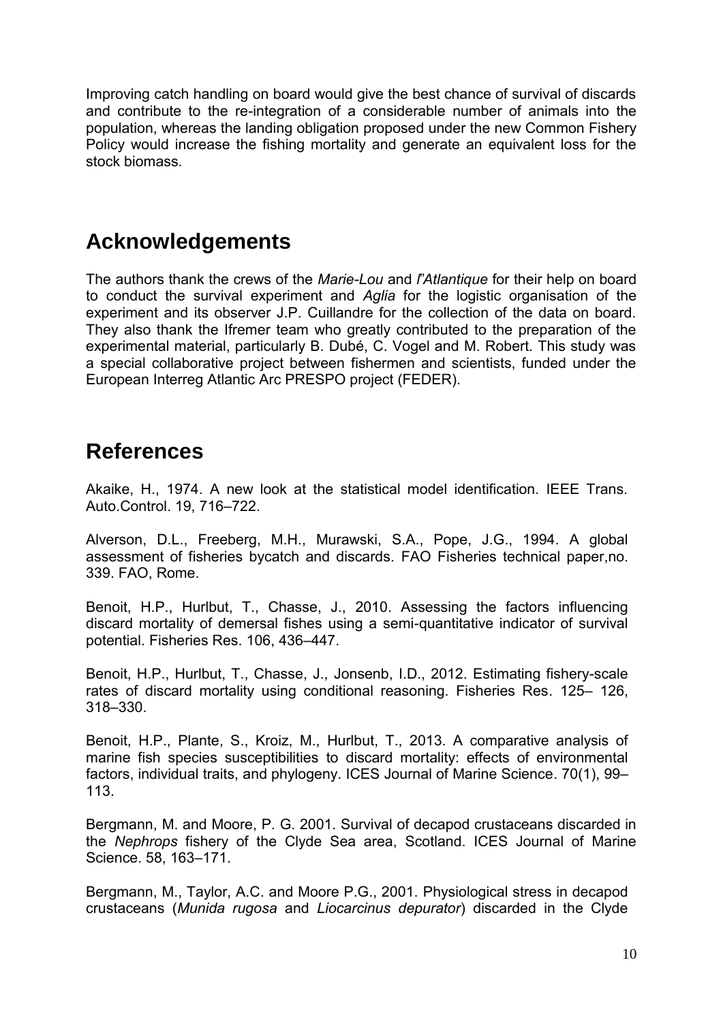Improving catch handling on board would give the best chance of survival of discards and contribute to the re-integration of a considerable number of animals into the population, whereas the landing obligation proposed under the new Common Fishery Policy would increase the fishing mortality and generate an equivalent loss for the stock biomass.

## **Acknowledgements**

The authors thank the crews of the *Marie-Lou* and *l*"*Atlantique* for their help on board to conduct the survival experiment and *Aglia* for the logistic organisation of the experiment and its observer J.P. Cuillandre for the collection of the data on board. They also thank the Ifremer team who greatly contributed to the preparation of the experimental material, particularly B. Dubé, C. Vogel and M. Robert. This study was a special collaborative project between fishermen and scientists, funded under the European Interreg Atlantic Arc PRESPO project (FEDER).

## **References**

Akaike, H., 1974. A new look at the statistical model identification. IEEE Trans. Auto.Control. 19, 716–722.

Alverson, D.L., Freeberg, M.H., Murawski, S.A., Pope, J.G., 1994. A global assessment of fisheries bycatch and discards. FAO Fisheries technical paper,no. 339. FAO, Rome.

Benoit, H.P., Hurlbut, T., Chasse, J., 2010. Assessing the factors influencing discard mortality of demersal fishes using a semi-quantitative indicator of survival potential. Fisheries Res. 106, 436–447.

Benoit, H.P., Hurlbut, T., Chasse, J., Jonsenb, I.D., 2012. Estimating fishery-scale rates of discard mortality using conditional reasoning. Fisheries Res. 125– 126, 318–330.

Benoit, H.P., Plante, S., Kroiz, M., Hurlbut, T., 2013. A comparative analysis of marine fish species susceptibilities to discard mortality: effects of environmental factors, individual traits, and phylogeny. ICES Journal of Marine Science. 70(1), 99– 113.

Bergmann, M. and Moore, P. G. 2001. Survival of decapod crustaceans discarded in the *Nephrops* fishery of the Clyde Sea area, Scotland. ICES Journal of Marine Science. 58, 163–171.

Bergmann, M., Taylor, A.C. and Moore P.G., 2001. Physiological stress in decapod crustaceans (*Munida rugosa* and *Liocarcinus depurator*) discarded in the Clyde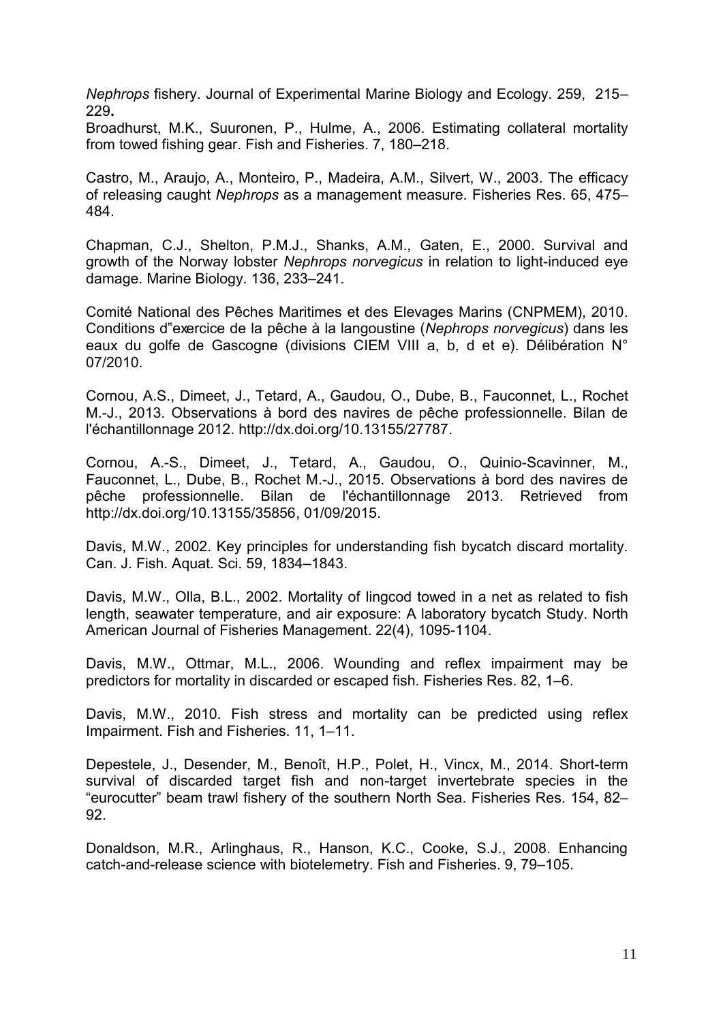*Nephrops* fishery. Journal of Experimental Marine Biology and Ecology. 259, 215– 229**.**

Broadhurst, M.K., Suuronen, P., Hulme, A., 2006. Estimating collateral mortality from towed fishing gear. Fish and Fisheries. 7, 180–218.

Castro, M., Araujo, A., Monteiro, P., Madeira, A.M., Silvert, W., 2003. The efficacy of releasing caught *Nephrops* as a management measure. Fisheries Res. 65, 475– 484.

Chapman, C.J., Shelton, P.M.J., Shanks, A.M., Gaten, E., 2000. Survival and growth of the Norway lobster *Nephrops norvegicus* in relation to light-induced eye damage. Marine Biology. 136, 233–241.

Comité National des Pêches Maritimes et des Elevages Marins (CNPMEM), 2010. Conditions d"exercice de la pêche à la langoustine (*Nephrops norvegicus*) dans les eaux du golfe de Gascogne (divisions CIEM VIII a, b, d et e). Délibération N° 07/2010.

Cornou, A.S., Dimeet, J., Tetard, A., Gaudou, O., Dube, B., Fauconnet, L., Rochet M.-J., 2013. Observations à bord des navires de pêche professionnelle. Bilan de l'échantillonnage 2012. [http://dx.doi.org/10.13155/27787.](http://dx.doi.org/10.13155/27787)

Cornou, A.-S., Dimeet, J., Tetard, A., Gaudou, O., Quinio-Scavinner, M., Fauconnet, L., Dube, B., Rochet M.-J., 2015. Observations à bord des navires de pêche professionnelle. Bilan de l'échantillonnage 2013. Retrieved from [http://dx.doi.org/10.13155/35856,](http://dx.doi.org/10.13155/35856) 01/09/2015.

Davis, M.W., 2002. Key principles for understanding fish bycatch discard mortality. Can. J. Fish. Aquat. Sci. 59, 1834–1843.

Davis, M.W., Olla, B.L., 2002. Mortality of lingcod towed in a net as related to fish length, seawater temperature, and air exposure: A laboratory bycatch Study. North American Journal of Fisheries Management. 22(4), 1095-1104.

Davis, M.W., Ottmar, M.L., 2006. Wounding and reflex impairment may be predictors for mortality in discarded or escaped fish. Fisheries Res. 82, 1–6.

Davis, M.W., 2010. Fish stress and mortality can be predicted using reflex Impairment. Fish and Fisheries. 11, 1–11.

Depestele, J., Desender, M., Benoît, H.P., Polet, H., Vincx, M., 2014. Short-term survival of discarded target fish and non-target invertebrate species in the "eurocutter" beam trawl fishery of the southern North Sea. Fisheries Res. 154, 82– 92.

Donaldson, M.R., Arlinghaus, R., Hanson, K.C., Cooke, S.J., 2008. Enhancing catch-and-release science with biotelemetry. Fish and Fisheries. 9, 79–105.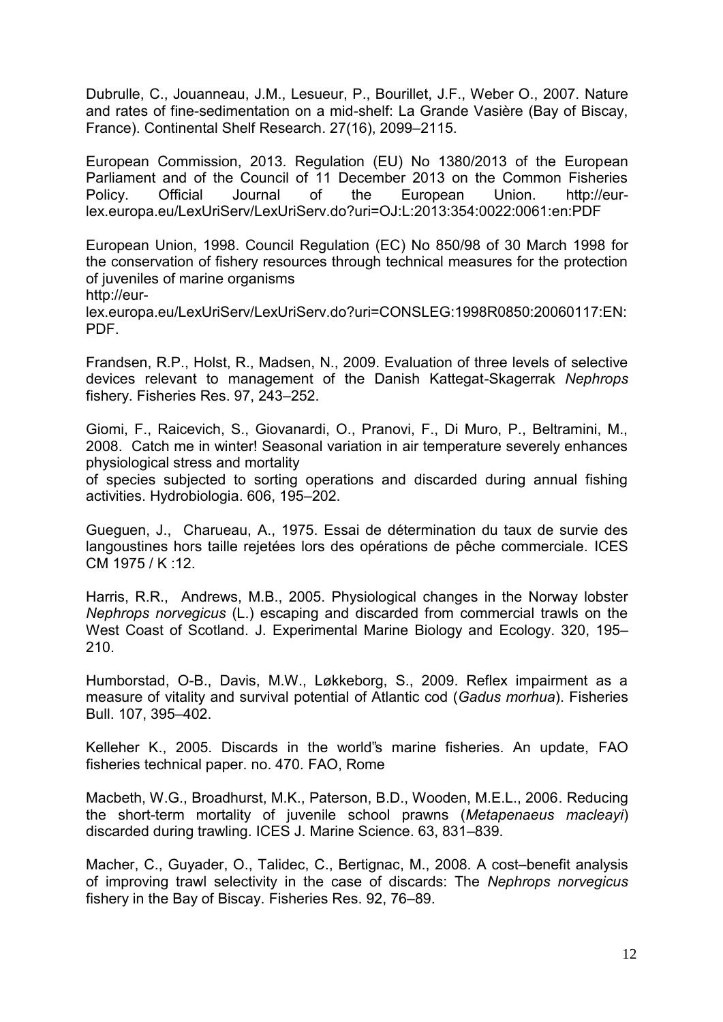Dubrulle, C., Jouanneau, J.M., Lesueur, P., Bourillet, J.F., Weber O., 2007. Nature and rates of fine-sedimentation on a mid-shelf: La Grande Vasière (Bay of Biscay, France). Continental Shelf Research. 27(16), 2099–2115.

European Commission, 2013. Regulation (EU) No 1380/2013 of the European Parliament and of the Council of 11 December 2013 on the Common Fisheries Policy. Official Journal of the European Union. http://eurlex.europa.eu/LexUriServ/LexUriServ.do?uri=OJ:L:2013:354:0022:0061:en:PDF

European Union, 1998. Council Regulation (EC) No 850/98 of 30 March 1998 for the conservation of fishery resources through technical measures for the protection of juveniles of marine organisms [http://eur-](http://eur-lex.europa.eu/LexUriServ/LexUriServ.do?uri=CONSLEG:1998R0850:20060117:EN:PDF)

[lex.europa.eu/LexUriServ/LexUriServ.do?uri=CONSLEG:1998R0850:20060117:EN:](http://eur-lex.europa.eu/LexUriServ/LexUriServ.do?uri=CONSLEG:1998R0850:20060117:EN:PDF) [PDF.](http://eur-lex.europa.eu/LexUriServ/LexUriServ.do?uri=CONSLEG:1998R0850:20060117:EN:PDF)

Frandsen, R.P., Holst, R., Madsen, N., 2009. Evaluation of three levels of selective devices relevant to management of the Danish Kattegat-Skagerrak *Nephrops* fishery. Fisheries Res. 97, 243–252.

Giomi, F., Raicevich, S., Giovanardi, O., Pranovi, F., Di Muro, P., Beltramini, M., 2008. Catch me in winter! Seasonal variation in air temperature severely enhances physiological stress and mortality

of species subjected to sorting operations and discarded during annual fishing activities. Hydrobiologia. 606, 195–202.

Gueguen, J., Charueau, A., 1975. Essai de détermination du taux de survie des langoustines hors taille rejetées lors des opérations de pêche commerciale. ICES CM 1975 / K :12.

Harris, R.R., Andrews, M.B., 2005. Physiological changes in the Norway lobster *Nephrops norvegicus* (L.) escaping and discarded from commercial trawls on the West Coast of Scotland. J. Experimental Marine Biology and Ecology. 320, 195– 210.

Humborstad, O-B., Davis, M.W., Løkkeborg, S., 2009. Reflex impairment as a measure of vitality and survival potential of Atlantic cod (*Gadus morhua*). Fisheries Bull. 107, 395–402.

Kelleher K., 2005. Discards in the world"s marine fisheries. An update, FAO fisheries technical paper. no. 470. FAO, Rome

Macbeth, W.G., Broadhurst, M.K., Paterson, B.D., Wooden, M.E.L., 2006. Reducing the short-term mortality of juvenile school prawns (*Metapenaeus macleayi*) discarded during trawling. ICES J. Marine Science. 63, 831–839.

Macher, C., Guyader, O., Talidec, C., Bertignac, M., 2008. A cost–benefit analysis of improving trawl selectivity in the case of discards: The *Nephrops norvegicus* fishery in the Bay of Biscay. Fisheries Res. 92, 76–89.